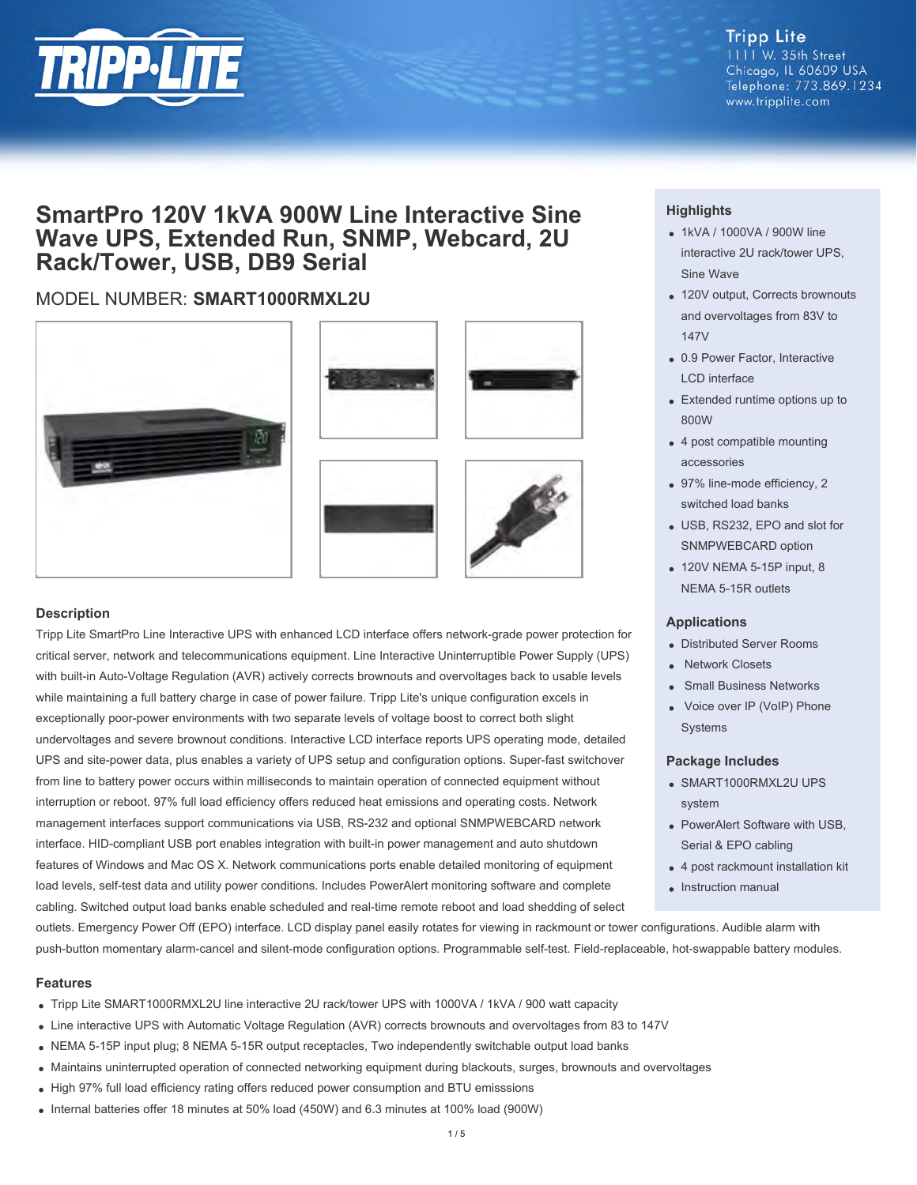

# **Tripp Lite** 1111 W. 35th Street Chicago, IL 60609 USA Telephone: 773.869.1234 www.tripplite.com

# **SmartPro 120V 1kVA 900W Line Interactive Sine Wave UPS, Extended Run, SNMP, Webcard, 2U Rack/Tower, USB, DB9 Serial**

# MODEL NUMBER: **SMART1000RMXL2U**







# **Description**

Tripp Lite SmartPro Line Interactive UPS with enhanced LCD interface offers network-grade power protection for critical server, network and telecommunications equipment. Line Interactive Uninterruptible Power Supply (UPS) with built-in Auto-Voltage Regulation (AVR) actively corrects brownouts and overvoltages back to usable levels while maintaining a full battery charge in case of power failure. Tripp Lite's unique configuration excels in exceptionally poor-power environments with two separate levels of voltage boost to correct both slight undervoltages and severe brownout conditions. Interactive LCD interface reports UPS operating mode, detailed UPS and site-power data, plus enables a variety of UPS setup and configuration options. Super-fast switchover from line to battery power occurs within milliseconds to maintain operation of connected equipment without interruption or reboot. 97% full load efficiency offers reduced heat emissions and operating costs. Network management interfaces support communications via USB, RS-232 and optional SNMPWEBCARD network interface. HID-compliant USB port enables integration with built-in power management and auto shutdown features of Windows and Mac OS X. Network communications ports enable detailed monitoring of equipment load levels, self-test data and utility power conditions. Includes PowerAlert monitoring software and complete cabling. Switched output load banks enable scheduled and real-time remote reboot and load shedding of select

# **Highlights**

- 1kVA / 1000VA / 900W line interactive 2U rack/tower UPS, Sine Wave
- 120V output, Corrects brownouts and overvoltages from 83V to 147V
- 0.9 Power Factor, Interactive LCD interface
- Extended runtime options up to 800W
- 4 post compatible mounting accessories
- 97% line-mode efficiency, 2 switched load banks
- USB, RS232, EPO and slot for SNMPWEBCARD option
- 120V NEMA 5-15P input, 8 NEMA 5-15R outlets

# **Applications**

- Distributed Server Rooms
- Network Closets
- Small Business Networks
- Voice over IP (VoIP) Phone **Systems**

# **Package Includes**

- SMART1000RMXL2U UPS system
- PowerAlert Software with USB, Serial & EPO cabling
- 4 post rackmount installation kit
- Instruction manual

outlets. Emergency Power Off (EPO) interface. LCD display panel easily rotates for viewing in rackmount or tower configurations. Audible alarm with push-button momentary alarm-cancel and silent-mode configuration options. Programmable self-test. Field-replaceable, hot-swappable battery modules.

# **Features**

- Tripp Lite SMART1000RMXL2U line interactive 2U rack/tower UPS with 1000VA / 1kVA / 900 watt capacity
- Line interactive UPS with Automatic Voltage Regulation (AVR) corrects brownouts and overvoltages from 83 to 147V
- NEMA 5-15P input plug; 8 NEMA 5-15R output receptacles, Two independently switchable output load banks
- Maintains uninterrupted operation of connected networking equipment during blackouts, surges, brownouts and overvoltages
- High 97% full load efficiency rating offers reduced power consumption and BTU emisssions
- Internal batteries offer 18 minutes at 50% load (450W) and 6.3 minutes at 100% load (900W)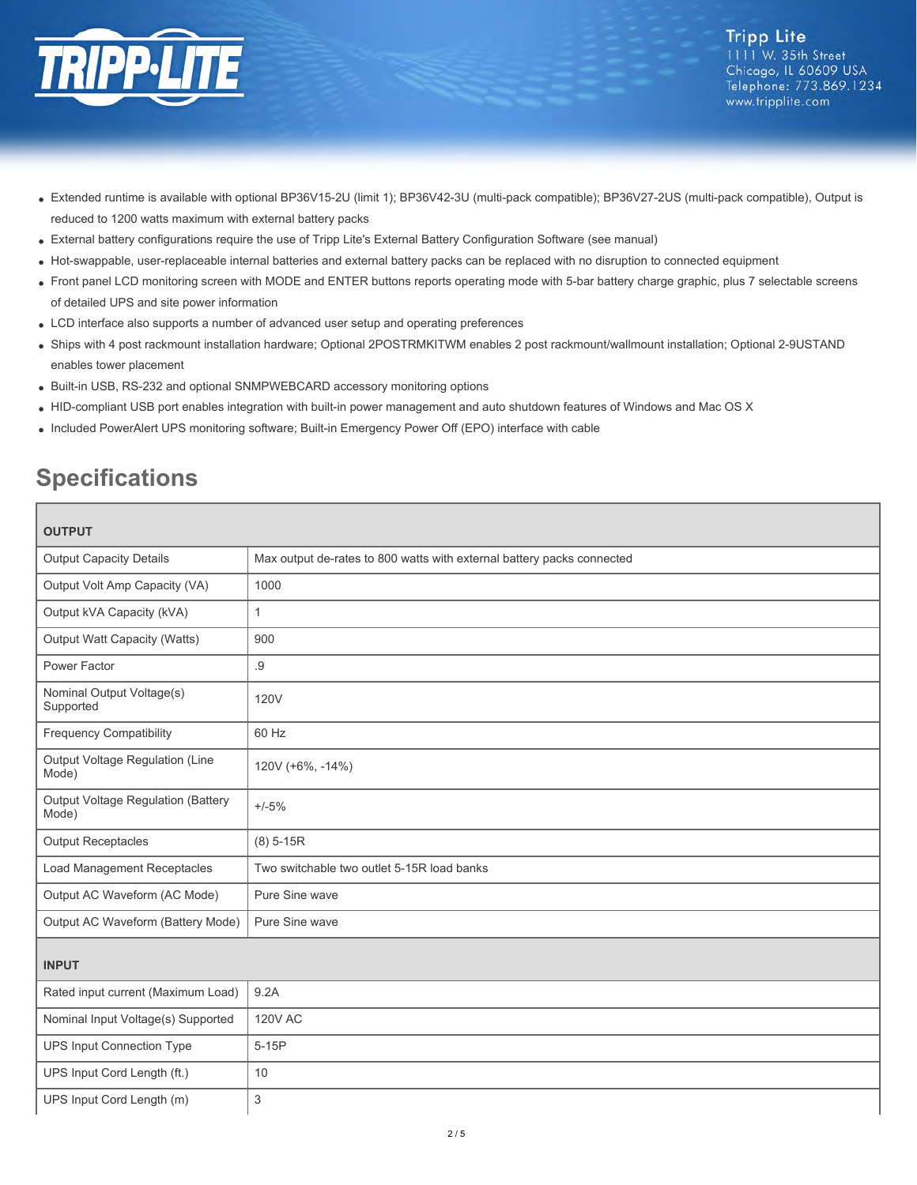

- Extended runtime is available with optional BP36V15-2U (limit 1); BP36V42-3U (multi-pack compatible); BP36V27-2US (multi-pack compatible), Output is reduced to 1200 watts maximum with external battery packs
- External battery configurations require the use of Tripp Lite's External Battery Configuration Software (see manual)
- Hot-swappable, user-replaceable internal batteries and external battery packs can be replaced with no disruption to connected equipment
- Front panel LCD monitoring screen with MODE and ENTER buttons reports operating mode with 5-bar battery charge graphic, plus 7 selectable screens of detailed UPS and site power information
- LCD interface also supports a number of advanced user setup and operating preferences
- Ships with 4 post rackmount installation hardware; Optional 2POSTRMKITWM enables 2 post rackmount/wallmount installation; Optional 2-9USTAND enables tower placement
- Built-in USB, RS-232 and optional SNMPWEBCARD accessory monitoring options
- HID-compliant USB port enables integration with built-in power management and auto shutdown features of Windows and Mac OS X
- Included PowerAlert UPS monitoring software; Built-in Emergency Power Off (EPO) interface with cable

# **Specifications**

| <b>OUTPUT</b>                                      |                                                                        |  |
|----------------------------------------------------|------------------------------------------------------------------------|--|
| <b>Output Capacity Details</b>                     | Max output de-rates to 800 watts with external battery packs connected |  |
| Output Volt Amp Capacity (VA)                      | 1000                                                                   |  |
| Output kVA Capacity (kVA)                          | $\mathbf{1}$                                                           |  |
| <b>Output Watt Capacity (Watts)</b>                | 900                                                                    |  |
| Power Factor                                       | .9                                                                     |  |
| Nominal Output Voltage(s)<br>Supported             | <b>120V</b>                                                            |  |
| <b>Frequency Compatibility</b>                     | 60 Hz                                                                  |  |
| Output Voltage Regulation (Line<br>Mode)           | 120V (+6%, -14%)                                                       |  |
| <b>Output Voltage Regulation (Battery</b><br>Mode) | $+/-5%$                                                                |  |
| <b>Output Receptacles</b>                          | $(8)$ 5-15R                                                            |  |
| Load Management Receptacles                        | Two switchable two outlet 5-15R load banks                             |  |
| Output AC Waveform (AC Mode)                       | Pure Sine wave                                                         |  |
| Output AC Waveform (Battery Mode)                  | Pure Sine wave                                                         |  |
| <b>INPUT</b>                                       |                                                                        |  |
| Rated input current (Maximum Load)                 | 9.2A                                                                   |  |
| Nominal Input Voltage(s) Supported                 | <b>120V AC</b>                                                         |  |
| UPS Input Connection Type                          | $5-15P$                                                                |  |
| UPS Input Cord Length (ft.)                        | 10                                                                     |  |
| UPS Input Cord Length (m)                          | $\ensuremath{\mathsf{3}}$                                              |  |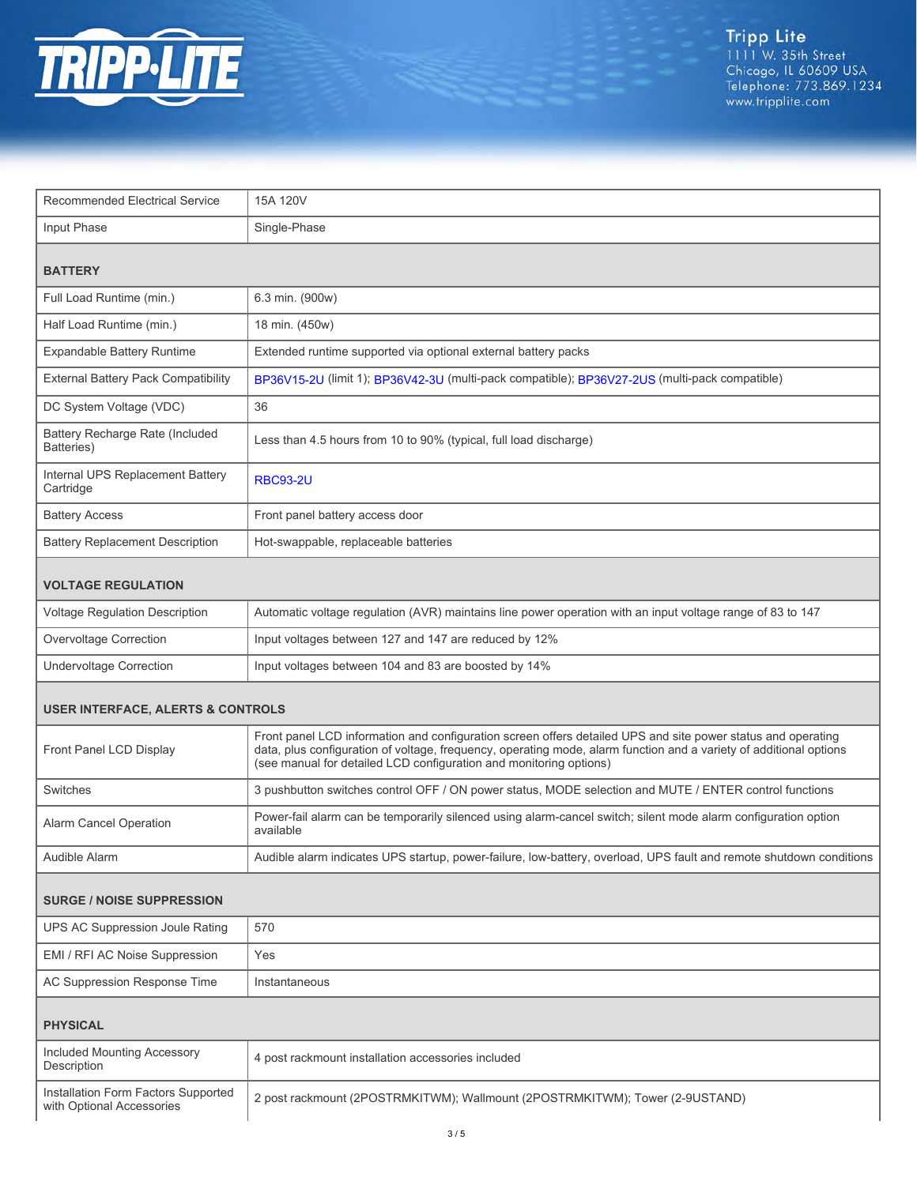

| <b>Recommended Electrical Service</b>         | 15A 120V                                                                                                                                                                                                                                                                                                 |  |
|-----------------------------------------------|----------------------------------------------------------------------------------------------------------------------------------------------------------------------------------------------------------------------------------------------------------------------------------------------------------|--|
| Input Phase                                   | Single-Phase                                                                                                                                                                                                                                                                                             |  |
| <b>BATTERY</b>                                |                                                                                                                                                                                                                                                                                                          |  |
|                                               |                                                                                                                                                                                                                                                                                                          |  |
| Full Load Runtime (min.)                      | 6.3 min. (900w)                                                                                                                                                                                                                                                                                          |  |
| Half Load Runtime (min.)                      | 18 min. (450w)                                                                                                                                                                                                                                                                                           |  |
| <b>Expandable Battery Runtime</b>             | Extended runtime supported via optional external battery packs                                                                                                                                                                                                                                           |  |
| External Battery Pack Compatibility           | BP36V15-2U (limit 1); BP36V42-3U (multi-pack compatible); BP36V27-2US (multi-pack compatible)                                                                                                                                                                                                            |  |
| DC System Voltage (VDC)                       | 36                                                                                                                                                                                                                                                                                                       |  |
| Battery Recharge Rate (Included<br>Batteries) | Less than 4.5 hours from 10 to 90% (typical, full load discharge)                                                                                                                                                                                                                                        |  |
| Internal UPS Replacement Battery<br>Cartridge | <b>RBC93-2U</b>                                                                                                                                                                                                                                                                                          |  |
| <b>Battery Access</b>                         | Front panel battery access door                                                                                                                                                                                                                                                                          |  |
| <b>Battery Replacement Description</b>        | Hot-swappable, replaceable batteries                                                                                                                                                                                                                                                                     |  |
| <b>VOLTAGE REGULATION</b>                     |                                                                                                                                                                                                                                                                                                          |  |
| <b>Voltage Regulation Description</b>         | Automatic voltage regulation (AVR) maintains line power operation with an input voltage range of 83 to 147                                                                                                                                                                                               |  |
| Overvoltage Correction                        | Input voltages between 127 and 147 are reduced by 12%                                                                                                                                                                                                                                                    |  |
| <b>Undervoltage Correction</b>                | Input voltages between 104 and 83 are boosted by 14%                                                                                                                                                                                                                                                     |  |
| <b>USER INTERFACE, ALERTS &amp; CONTROLS</b>  |                                                                                                                                                                                                                                                                                                          |  |
| Front Panel LCD Display                       | Front panel LCD information and configuration screen offers detailed UPS and site power status and operating<br>data, plus configuration of voltage, frequency, operating mode, alarm function and a variety of additional options<br>(see manual for detailed LCD configuration and monitoring options) |  |
| Switches                                      | 3 pushbutton switches control OFF / ON power status, MODE selection and MUTE / ENTER control functions                                                                                                                                                                                                   |  |
| Alarm Cancel Operation                        | Power-fail alarm can be temporarily silenced using alarm-cancel switch; silent mode alarm configuration option<br>available                                                                                                                                                                              |  |
| Audible Alarm                                 | Audible alarm indicates UPS startup, power-failure, low-battery, overload, UPS fault and remote shutdown conditions                                                                                                                                                                                      |  |
| <b>SURGE / NOISE SUPPRESSION</b>              |                                                                                                                                                                                                                                                                                                          |  |
| UPS AC Suppression Joule Rating               | 570                                                                                                                                                                                                                                                                                                      |  |
| EMI / RFI AC Noise Suppression                | Yes                                                                                                                                                                                                                                                                                                      |  |
| AC Suppression Response Time                  | Instantaneous                                                                                                                                                                                                                                                                                            |  |
| <b>PHYSICAL</b>                               |                                                                                                                                                                                                                                                                                                          |  |

| Included Mounting Accessory<br>Description                       | 4 post rackmount installation accessories included                           |
|------------------------------------------------------------------|------------------------------------------------------------------------------|
| Installation Form Factors Supported<br>with Optional Accessories | 2 post rackmount (2POSTRMKITWM); Wallmount (2POSTRMKITWM); Tower (2-9USTAND) |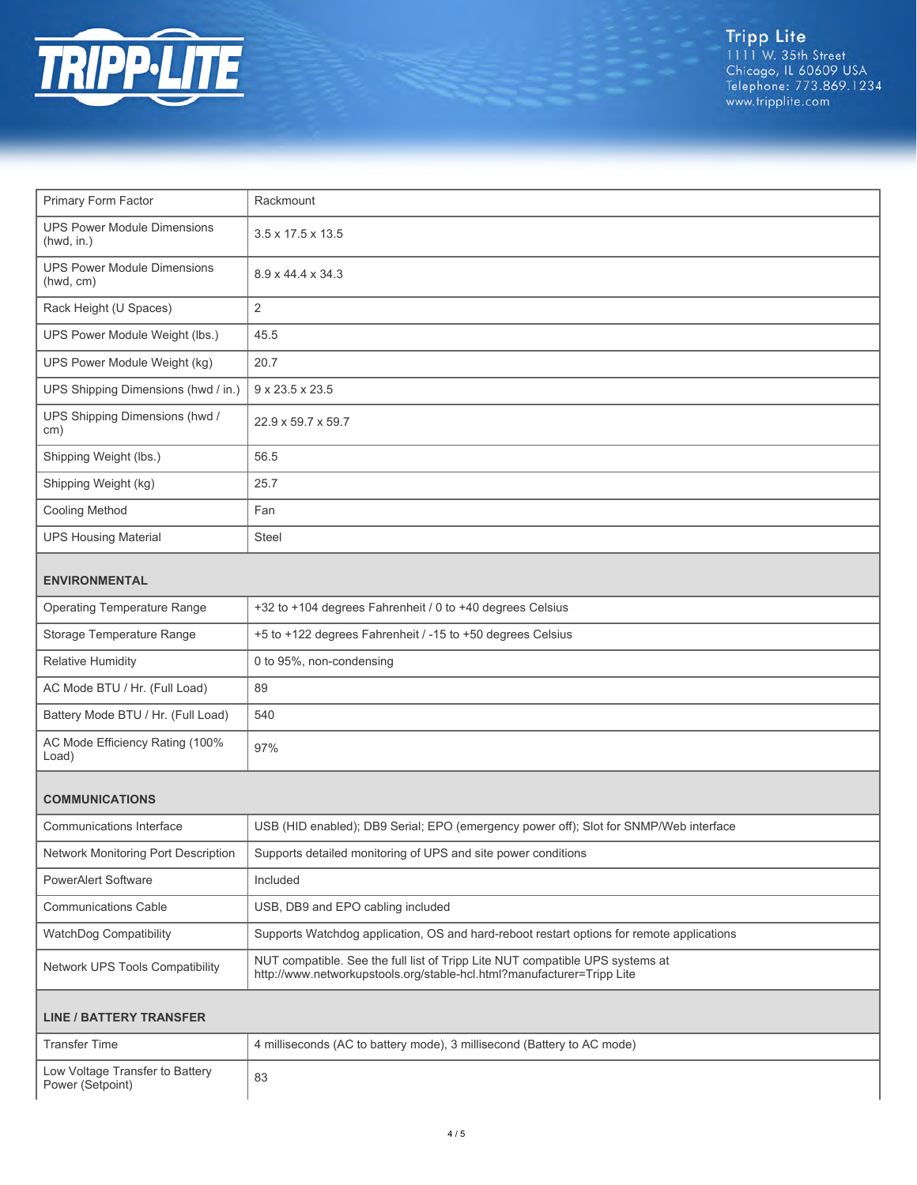

Tripp Lite<br>1111 W. 35th Street<br>Chicago, IL 60609 USA<br>Telephone: 773.869.1234<br>www.tripplite.com

| Primary Form Factor                                 | Rackmount                                                                                                                                               |  |
|-----------------------------------------------------|---------------------------------------------------------------------------------------------------------------------------------------------------------|--|
| <b>UPS Power Module Dimensions</b><br>(hwd, in.)    | $3.5 \times 17.5 \times 13.5$                                                                                                                           |  |
| <b>UPS Power Module Dimensions</b><br>(hwd, cm)     | 8.9 x 44.4 x 34.3                                                                                                                                       |  |
| Rack Height (U Spaces)                              | $\overline{2}$                                                                                                                                          |  |
| UPS Power Module Weight (lbs.)                      | 45.5                                                                                                                                                    |  |
| UPS Power Module Weight (kg)                        | 20.7                                                                                                                                                    |  |
| UPS Shipping Dimensions (hwd / in.)                 | 9 x 23.5 x 23.5                                                                                                                                         |  |
| UPS Shipping Dimensions (hwd /<br>cm)               | 22.9 x 59.7 x 59.7                                                                                                                                      |  |
| Shipping Weight (lbs.)                              | 56.5                                                                                                                                                    |  |
| Shipping Weight (kg)                                | 25.7                                                                                                                                                    |  |
| <b>Cooling Method</b>                               | Fan                                                                                                                                                     |  |
| <b>UPS Housing Material</b>                         | Steel                                                                                                                                                   |  |
| <b>ENVIRONMENTAL</b>                                |                                                                                                                                                         |  |
| <b>Operating Temperature Range</b>                  | +32 to +104 degrees Fahrenheit / 0 to +40 degrees Celsius                                                                                               |  |
| Storage Temperature Range                           | +5 to +122 degrees Fahrenheit / -15 to +50 degrees Celsius                                                                                              |  |
| <b>Relative Humidity</b>                            | 0 to 95%, non-condensing                                                                                                                                |  |
| AC Mode BTU / Hr. (Full Load)                       | 89                                                                                                                                                      |  |
| Battery Mode BTU / Hr. (Full Load)                  | 540                                                                                                                                                     |  |
| AC Mode Efficiency Rating (100%<br>Load)            | 97%                                                                                                                                                     |  |
| <b>COMMUNICATIONS</b>                               |                                                                                                                                                         |  |
| Communications Interface                            | USB (HID enabled); DB9 Serial; EPO (emergency power off); Slot for SNMP/Web interface                                                                   |  |
| Network Monitoring Port Description                 | Supports detailed monitoring of UPS and site power conditions                                                                                           |  |
| <b>PowerAlert Software</b>                          | Included                                                                                                                                                |  |
| <b>Communications Cable</b>                         | USB, DB9 and EPO cabling included                                                                                                                       |  |
| WatchDog Compatibility                              | Supports Watchdog application, OS and hard-reboot restart options for remote applications                                                               |  |
| Network UPS Tools Compatibility                     | NUT compatible. See the full list of Tripp Lite NUT compatible UPS systems at<br>http://www.networkupstools.org/stable-hcl.html?manufacturer=Tripp Lite |  |
| <b>LINE / BATTERY TRANSFER</b>                      |                                                                                                                                                         |  |
| <b>Transfer Time</b>                                | 4 milliseconds (AC to battery mode), 3 millisecond (Battery to AC mode)                                                                                 |  |
| Low Voltage Transfer to Battery<br>Power (Setpoint) | 83                                                                                                                                                      |  |